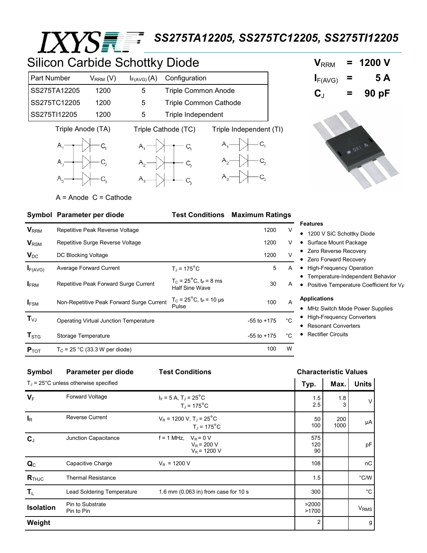# *IXYSEE SS275TA12205, SS275TC12205, SS275TI12205*

### Silicon Carbide Schottky Diode

| <b>Part Number</b> | $\rm V_{\rm RRM}$ (V) | $I_{F(AVG)}(A)$ | Configuration                |
|--------------------|-----------------------|-----------------|------------------------------|
| SS275TA12205       | 1200                  | $\mathbf b$     | <b>Triple Common Anode</b>   |
| SS275TC12205       | 1200                  | 5               | <b>Triple Common Cathode</b> |
| SS275TI12205       | 1200                  | 5               | Triple Independent           |











 $A =$  Anode  $C =$  Cathode

### **Symbol Parameter per diode Test Conditions Maximum Ratings**

| $V_{RRM}$                      | Repetitive Peak Reverse Voltage<br>Repetitive Surge Reverse Voltage |                                                                      | 1200            | V              | <b>Features</b><br>• 1200 V SiC Schottky Diode<br>• Surface Mount Package<br>• Zero Reverse Recovery<br>• Zero Forward Recovery |
|--------------------------------|---------------------------------------------------------------------|----------------------------------------------------------------------|-----------------|----------------|---------------------------------------------------------------------------------------------------------------------------------|
| <b>V</b> <sub>RSM</sub>        |                                                                     |                                                                      | 1200            | V              |                                                                                                                                 |
| $V_{DC}$                       | DC Blocking Voltage                                                 |                                                                      | 1200            | $\vee$         |                                                                                                                                 |
| $I_{F(AVG)}$                   | Average Forward Current                                             | $T_1$ = 175 $^{\circ}$ C                                             | 5               | A              | • High-Frequency Operation<br>• Temperature-Independent Behavior<br>• Positive Temperature Coefficient for $V_F$                |
| <b>IFRM</b>                    | Repetitive Peak Forward Surge Current                               | $T_c = 25^{\circ}C$ , t <sub>p</sub> = 8 ms<br><b>Half Sine Wave</b> | 30              | A              |                                                                                                                                 |
| <b>IFSM</b>                    | Non-Repetitive Peak Forward Surge Current                           | $T_c = 25^{\circ}$ C, t <sub>P</sub> = 10 µs<br>Pulse                | 100             | $\overline{A}$ | <b>Applications</b><br>• MHz Switch Mode Power Supplies                                                                         |
| $\mathbf{T}_{\vee \mathsf{J}}$ | Operating Virtual Junction Temperature<br>Storage Temperature       |                                                                      | $-55$ to $+175$ | $^{\circ}C$    | <b>High-Frequency Converters</b><br><b>Resonant Converters</b><br><b>Rectifier Circuits</b>                                     |
| $\mathbf{T}_{\text{STG}}$      |                                                                     |                                                                      | $-55$ to $+175$ | $^{\circ}C$    |                                                                                                                                 |
| $P_{TOT}$                      | $T_C$ = 25 °C (33.3 W per diode)                                    | 100                                                                  | W               |                |                                                                                                                                 |

#### **Symbol Parameter per diode Test Conditions Characteristic Values**  T<sup>J</sup> = 25°C unless otherwise specified **Typ. Max. Units V**F Forward Voltage  $I_F = 5 \text{ A}$ ,  $T_J = 25^{\circ} \text{C}$  $T_J = 175$ °C 1.5 2.5 1.8 3 V **I**R Reverse Current  $V_R = 1200 \text{ V}, T_J = 25^{\circ} \text{C}$  $T_J = 175$ °C 50 100 200  $1000$   $\mu$ A **C**J Junction Capacitance  $f = 1$  MHz,  $V_R = 0$  V  $V_R$  = 200 V  $V_R$  = 1200 V 575 120 90 pF  $\mathbf{Q}_{\text{C}}$  Capacitive Charge  $V_{\text{R}}$  = 1200 V 108 108 108 **R**<sub>THJC</sub> Thermal Resistance 1.5 and 1.5 and 1.5 and 1.5 and 1.5 and 1.5 and 1.5 and 1.5 and 1.5 and 1.5 and 1.5 and 1.5 and 1.5 and 1.5 and 1.5 and 1.5 and 1.5 and 1.5 and 1.5 and 1.5 and 1.5 and 1.5 and 1.5 and 1.5 and 1  $\mathsf{T}_{\mathsf{L}}$  Lead Soldering Temperature 1.6 mm (0.063 in) from case for 10 s  $\qquad \qquad$  300  $\qquad \qquad$  °C **Isolation** Pin to Substrate Pin to Pin >2000  $>1700$  VRMS **Weight** 2 g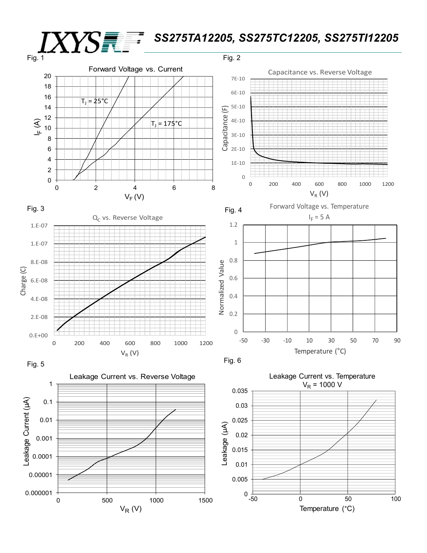## *SS275TA12205, SS275TC12205, SS275TI12205*